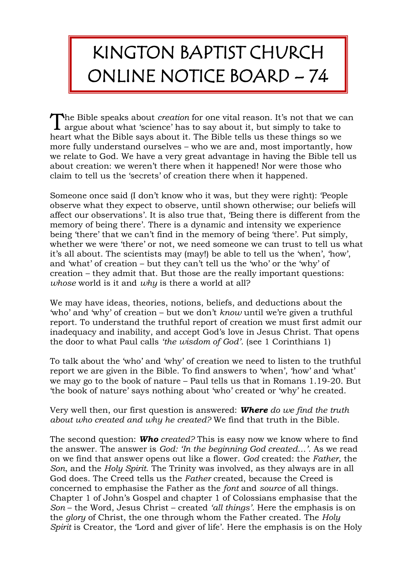## KINGTON BAPTIST CHURCH ONLINE NOTICE BOARD – 74

The Bible speaks about *creation* for one vital reason. It's not that we can The Bible speaks about *creation* for one vital reason. It's not that we c<br>argue about what 'science' has to say about it, but simply to take to heart what the Bible says about it. The Bible tells us these things so we more fully understand ourselves – who we are and, most importantly, how we relate to God. We have a very great advantage in having the Bible tell us about creation: we weren't there when it happened! Nor were those who claim to tell us the 'secrets' of creation there when it happened.

Someone once said (I don't know who it was, but they were right): 'People observe what they expect to observe, until shown otherwise; our beliefs will affect our observations'. It is also true that, 'Being there is different from the memory of being there'. There is a dynamic and intensity we experience being 'there' that we can't find in the memory of being 'there'. Put simply, whether we were 'there' or not, we need someone we can trust to tell us what it's all about. The scientists may (may!) be able to tell us the 'when', 'how', and 'what' of creation – but they can't tell us the 'who' or the 'why' of creation – they admit that. But those are the really important questions: *whose* world is it and *why* is there a world at all?

We may have ideas, theories, notions, beliefs, and deductions about the 'who' and 'why' of creation – but we don't *know* until we're given a truthful report. To understand the truthful report of creation we must first admit our inadequacy and inability, and accept God's love in Jesus Christ. That opens the door to what Paul calls *'the wisdom of God'*. (see 1 Corinthians 1)

To talk about the 'who' and 'why' of creation we need to listen to the truthful report we are given in the Bible. To find answers to 'when', 'how' and 'what' we may go to the book of nature – Paul tells us that in Romans 1.19-20. But 'the book of nature' says nothing about 'who' created or 'why' he created.

## Very well then, our first question is answered: *Where do we find the truth about who created and why he created?* We find that truth in the Bible.

The second question: *Who created?* This is easy now we know where to find the answer. The answer is *God: 'In the beginning God created…'.* As we read on we find that answer opens out like a flower. *God* created: the *Father*, the *Son*, and the *Holy Spirit*. The Trinity was involved, as they always are in all God does. The Creed tells us the *Father* created, because the Creed is concerned to emphasise the Father as the *font* and *source* of all things. Chapter 1 of John's Gospel and chapter 1 of Colossians emphasise that the *Son* – the Word, Jesus Christ – created *'all things'.* Here the emphasis is on the *glory* of Christ, the one through whom the Father created. The *Holy Spirit* is Creator, the 'Lord and giver of life'. Here the emphasis is on the Holy